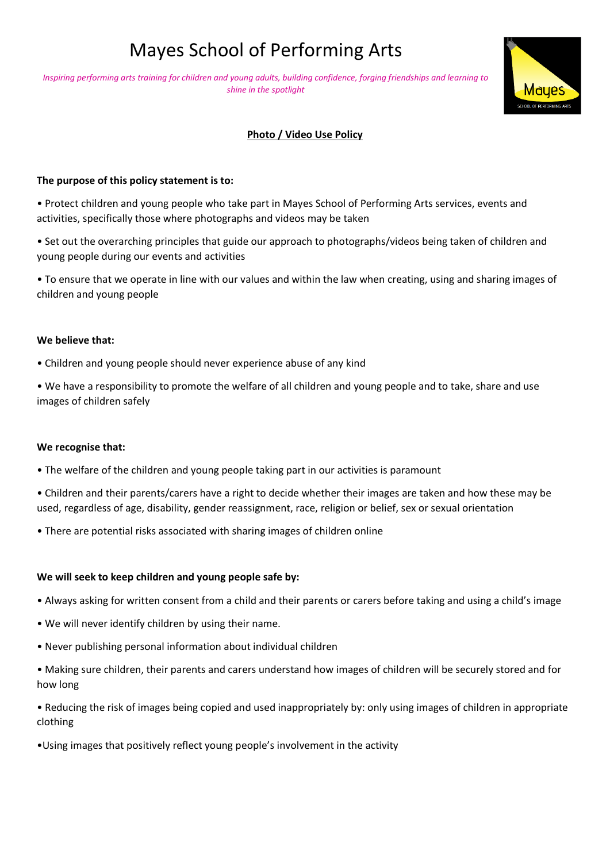# Mayes School of Performing Arts

*Inspiring performing arts training for children and young adults, building confidence, forging friendships and learning to shine in the spotlight*



# **Photo / Video Use Policy**

## **The purpose of this policy statement is to:**

• Protect children and young people who take part in Mayes School of Performing Arts services, events and activities, specifically those where photographs and videos may be taken

• Set out the overarching principles that guide our approach to photographs/videos being taken of children and young people during our events and activities

• To ensure that we operate in line with our values and within the law when creating, using and sharing images of children and young people

#### **We believe that:**

• Children and young people should never experience abuse of any kind

• We have a responsibility to promote the welfare of all children and young people and to take, share and use images of children safely

#### **We recognise that:**

• The welfare of the children and young people taking part in our activities is paramount

• Children and their parents/carers have a right to decide whether their images are taken and how these may be used, regardless of age, disability, gender reassignment, race, religion or belief, sex or sexual orientation

• There are potential risks associated with sharing images of children online

## **We will seek to keep children and young people safe by:**

• Always asking for written consent from a child and their parents or carers before taking and using a child's image

- We will never identify children by using their name.
- Never publishing personal information about individual children
- Making sure children, their parents and carers understand how images of children will be securely stored and for how long

• Reducing the risk of images being copied and used inappropriately by: only using images of children in appropriate clothing

•Using images that positively reflect young people's involvement in the activity